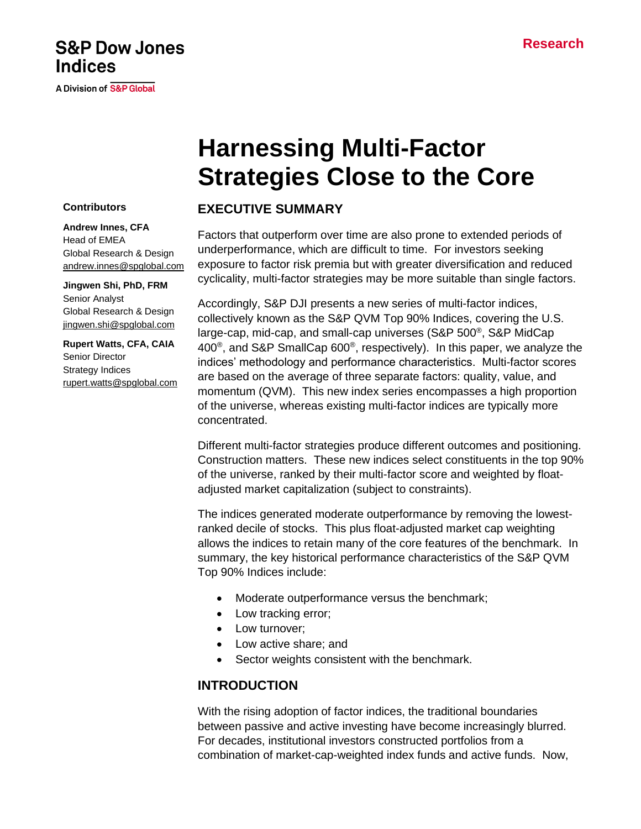## **S&P Dow Jones Indices**

A Division of S&P Global

# **Harnessing Multi-Factor Strategies Close to the Core**

### **EXECUTIVE SUMMARY**

Factors that outperform over time are also prone to extended periods of underperformance, which are difficult to time. For investors seeking exposure to factor risk premia but with greater diversification and reduced cyclicality, multi-factor strategies may be more suitable than single factors.

Accordingly, S&P DJI presents a new series of multi-factor indices, collectively known as the S&P QVM Top 90% Indices, covering the U.S. large-cap, mid-cap, and small-cap universes (S&P 500<sup>®</sup>, S&P MidCap 400<sup>®</sup>, and S&P SmallCap 600<sup>®</sup>, respectively). In this paper, we analyze the indices' methodology and performance characteristics. Multi-factor scores are based on the average of three separate factors: quality, value, and momentum (QVM). This new index series encompasses a high proportion of the universe, whereas existing multi-factor indices are typically more concentrated.

Different multi-factor strategies produce different outcomes and positioning. Construction matters. These new indices select constituents in the top 90% of the universe, ranked by their multi-factor score and weighted by floatadjusted market capitalization (subject to constraints).

The indices generated moderate outperformance by removing the lowestranked decile of stocks. This plus float-adjusted market cap weighting allows the indices to retain many of the core features of the benchmark. In summary, the key historical performance characteristics of the S&P QVM Top 90% Indices include:

- Moderate outperformance versus the benchmark;
- Low tracking error;
- Low turnover:
- Low active share; and
- Sector weights consistent with the benchmark.

### **INTRODUCTION**

With the rising adoption of factor indices, the traditional boundaries between passive and active investing have become increasingly blurred. For decades, institutional investors constructed portfolios from a combination of market-cap-weighted index funds and active funds. Now,

### **Contributors**

**Andrew Innes, CFA** Head of EMEA Global Research & Design [andrew.innes@spglobal.com](mailto:andrew.innes@spglobal.com)

**Jingwen Shi, PhD, FRM** Senior Analyst Global Research & Design [jingwen.shi@spglobal.com](mailto:jingwen.shi@spglobal.com)

**Rupert Watts, CFA, CAIA** Senior Director Strategy Indices [rupert.watts@spglobal.com](mailto:rupert.watts@spglobal.com)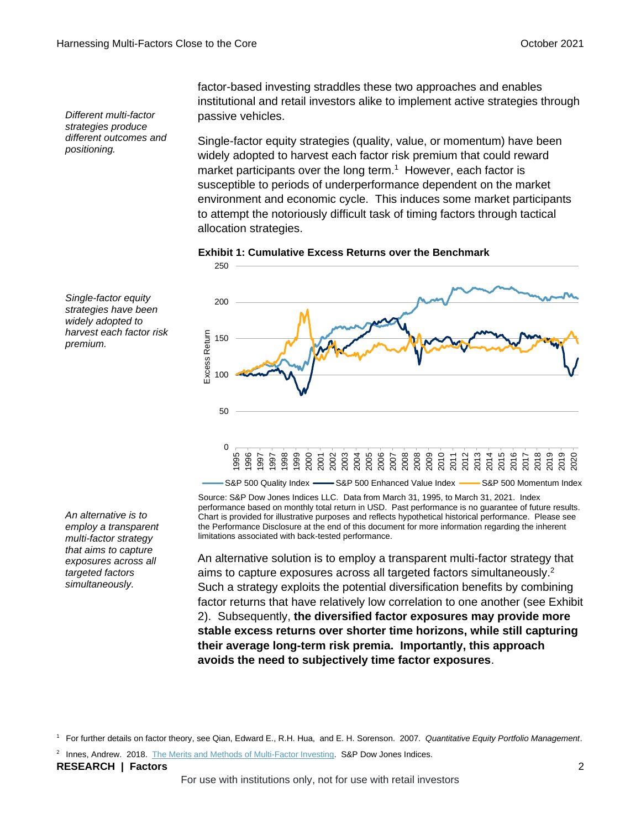*Different multi-factor strategies produce different outcomes and positioning.*

*Single-factor equity strategies have been widely adopted to harvest each factor risk* 

*premium.*

factor-based investing straddles these two approaches and enables institutional and retail investors alike to implement active strategies through passive vehicles.

Single-factor equity strategies (quality, value, or momentum) have been widely adopted to harvest each factor risk premium that could reward market participants over the long term.<sup>1</sup> However, each factor is susceptible to periods of underperformance dependent on the market environment and economic cycle. This induces some market participants to attempt the notoriously difficult task of timing factors through tactical allocation strategies.





S&P 500 Quality Index - S&P 500 Enhanced Value Index - S&P 500 Momentum Index

Source: S&P Dow Jones Indices LLC. Data from March 31, 1995, to March 31, 2021. Index performance based on monthly total return in USD. Past performance is no guarantee of future results. Chart is provided for illustrative purposes and reflects hypothetical historical performance. Please see the Performance Disclosure at the end of this document for more information regarding the inherent limitations associated with back-tested performance.

An alternative solution is to employ a transparent multi-factor strategy that aims to capture exposures across all targeted factors simultaneously. 2 Such a strategy exploits the potential diversification benefits by combining factor returns that have relatively low correlation to one another (see Exhibit 2). Subsequently, **the diversified factor exposures may provide more stable excess returns over shorter time horizons, while still capturing their average long-term risk premia. Importantly, this approach avoids the need to subjectively time factor exposures**.

<sup>1</sup> For further details on factor theory, see Qian, Edward E., R.H. Hua, and E. H. Sorenson. 2007. *Quantitative Equity Portfolio Management*.

<sup>2</sup> Innes, Andrew. 2018. [The Merits and Methods of Multi-Factor Investing.](https://www.spglobal.com/spdji/en/research/article/the-merits-and-methods-of-multi-factor-investing/?utm_source=pdf_research) S&P Dow Jones Indices.

**RESEARCH | Factors** 2

*An alternative is to employ a transparent multi-factor strategy that aims to capture exposures across all targeted factors simultaneously.*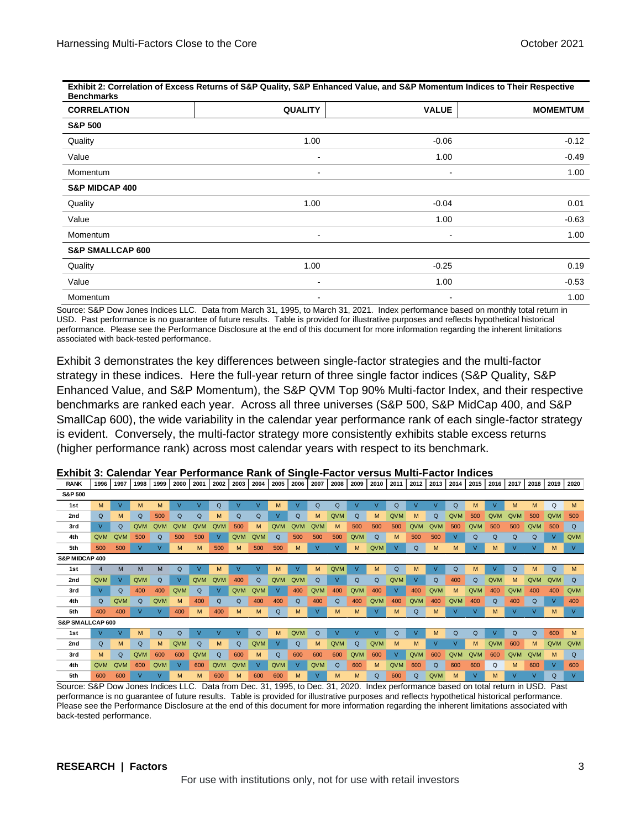**Exhibit 2: Correlation of Excess Returns of S&P Quality, S&P Enhanced Value, and S&P Momentum Indices to Their Respective Benchmarks**

| <b>CORRELATION</b>          | <b>QUALITY</b>           | <b>VALUE</b>             | <b>MOMEMTUM</b> |
|-----------------------------|--------------------------|--------------------------|-----------------|
| <b>S&amp;P 500</b>          |                          |                          |                 |
| Quality                     | 1.00                     | $-0.06$                  | $-0.12$         |
| Value                       | ۰                        | 1.00                     | $-0.49$         |
| Momentum                    | $\blacksquare$           | $\blacksquare$           | 1.00            |
| S&P MIDCAP 400              |                          |                          |                 |
| Quality                     | 1.00                     | $-0.04$                  | 0.01            |
| Value                       |                          | 1.00                     | $-0.63$         |
| Momentum                    | $\overline{\phantom{a}}$ | $\overline{\phantom{a}}$ | 1.00            |
| <b>S&amp;P SMALLCAP 600</b> |                          |                          |                 |
| Quality                     | 1.00                     | $-0.25$                  | 0.19            |
| Value                       | ٠                        | 1.00                     | $-0.53$         |
| Momentum                    | $\overline{\phantom{a}}$ | $\blacksquare$           | 1.00            |

Source: S&P Dow Jones Indices LLC. Data from March 31, 1995, to March 31, 2021. Index performance based on monthly total return in USD. Past performance is no guarantee of future results. Table is provided for illustrative purposes and reflects hypothetical historical performance. Please see the Performance Disclosure at the end of this document for more information regarding the inherent limitations associated with back-tested performance.

Exhibit 3 demonstrates the key differences between single-factor strategies and the multi-factor strategy in these indices. Here the full-year return of three single factor indices (S&P Quality, S&P Enhanced Value, and S&P Momentum), the S&P QVM Top 90% Multi-factor Index, and their respective benchmarks are ranked each year. Across all three universes (S&P 500, S&P MidCap 400, and S&P SmallCap 600), the wide variability in the calendar year performance rank of each single-factor strategy is evident. Conversely, the multi-factor strategy more consistently exhibits stable excess returns (higher performance rank) across most calendar years with respect to its benchmark.

| <b>KANN</b>        | าววง           | 1997          | างงธ       | 1999       | zuuu         | <b>ZUU</b> T | ZUUZ | ZUUS           | <b>2004</b> | ZUUS       | ZUUD         | <b>ZUU</b>     | ∠∪∪ö          | <b>SONA</b> | ZUTU | <b>ZUTT</b> | <b>2012</b> | ZU 13        | ZU14     | <b>2013</b>  | <b>ZUTO</b>    | <b>2017</b> | 2018 | <b>ZU19</b> | ZUZU        |
|--------------------|----------------|---------------|------------|------------|--------------|--------------|------|----------------|-------------|------------|--------------|----------------|---------------|-------------|------|-------------|-------------|--------------|----------|--------------|----------------|-------------|------|-------------|-------------|
| <b>S&amp;P 500</b> |                |               |            |            |              |              |      |                |             |            |              |                |               |             |      |             |             |              |          |              |                |             |      |             |             |
| 1st                | M              | v             | м          | M          |              |              | Q    |                | M           | M          | $\vee$       | Q              | Q             |             |      | Q           |             | $\mathbf{v}$ | Q        | м            | V              | м           | M    | Q           | M           |
| 2nd                | Q              | M             | Q          | 500        | Q            | Q            | м    | Q              | Q           | v          | $\Omega$     | м              | QVM           | Q           | M    | QVM         | M           | Q            | QVM      | 500          | <b>QVM</b>     | <b>QVM</b>  | 500  | QVM         | 500         |
| 3rd                | V              | Q             | <b>QVM</b> | QVM        | <b>QVM</b>   | QVM          | QVM  | 500            | м           | QVM        | QVM          | QVM            | м             | 500         | 500  | 500         | <b>QVM</b>  | <b>QVM</b>   | 500      | <b>QVM</b>   | 500            | 500         | QVM  | 500         | Q           |
| 4th                | QVM            | QVM           | 500        | Q          | 500          | 500          | v    | QVM            | QVM         | Q          | 500          | 500            | 500           | QVM         | Q    | М           | 500         | 500          | v        | Q            | Q              | Q           | Q    | V           | QVM         |
| 5th                | 500            | 500           | v          |            | M            | M            | 500  | M              | 500         | 500        | М            |                | $\mathcal{U}$ | M           | QVM  | V           | Q           | M            | M        | v            | м              | v           | v    | M           | V           |
| S&P MIDCAP 400     |                |               |            |            |              |              |      |                |             |            |              |                |               |             |      |             |             |              |          |              |                |             |      |             |             |
| 1st                | $\overline{4}$ | M             | M          | M          | Q            | V            | м    | $\overline{V}$ | M           | м          | $\mathbf{V}$ | м              | QVM           | v           | M    | Q           | M           | $\mathsf{V}$ | Q        | M            | $\overline{V}$ | $\Omega$    | M    | Q           | M           |
| 2nd                | QVM            | V             | QVM        | $\Omega$   | $\mathsf{V}$ | QVM          | QVM  | 400            | Q           | QVM        | QVM          | Q              |               | Q           | Q    | QVM         |             | Q            | 400      | Q            | QVM            | м           | QVM  | QVM         | Q           |
| 3rd                | V              | Q             | 400        | 400        | QVM          | Q            |      | QVM            | QVM         | v          | 400          | QVM            | 400           | QVM         | 400  | v           | 400         | QVM          | M        | QVM          | 400            | QVM         | 400  | 400         | QVM         |
| 4th                | Q              | QVM           | Q          | <b>QVM</b> | M            | 400          | Q    | Q              | 400         | 400        | Q            | 400            | Q             | 400         | QVM  | 400         | <b>QVM</b>  | 400          | QVM      | 400          | Q              | 400         | Q    | V           | 400         |
| 5th                | 400            | 400           | v          |            | 400          | M            | 400  | M              | M           | Q          | м            | v              | м             | M           | V    | м           | Q           | M            | v        | $\mathsf{V}$ | м              | v           | v    | M           | V           |
| S&P SMALLCAP 600   |                |               |            |            |              |              |      |                |             |            |              |                |               |             |      |             |             |              |          |              |                |             |      |             |             |
| 1st                | V              | $\mathcal{U}$ | м          | Q          | Q            | v            |      | $\mathcal{L}$  | Q           | M          | QVM          | Q              |               |             |      | Q           |             | м            | $\Omega$ | Q            | V              | Q           | Q    | 600         | M           |
| 2nd                | Q              | M             | Q          | м          | QVM          | Q            | м    | Q              | QVM         | v          | Q            | м              | QVM           | Q           | QVM  | м           | M           | ν            | V        | м            | QVM            | 600         | M    | QVM         | QVM         |
| 3rd                | M              | Q             | QVM        | 600        | 600          | QVM          | Q    | 600            | M           | Q          | 600          | 600            | 600           | QVM         | 600  | v           | QVM         | 600          | QVM      | <b>QVM</b>   | 600            | QVM         | QVM  | M           | $\mathsf Q$ |
| 4th                | QVM            | QVM           | 600        | QVM        | v            | 600          | QVM  | QVM            | ν           | <b>QVM</b> | $\vee$       | QVM            | Q             | 600         | M    | QVM         | 600         | Q            | 600      | 600          | Q              | M           | 600  | V           | 600         |
| 5th                | 600            | 600           |            |            | M            | м            | 600  | M              | 600         | 600        | M            | $\overline{V}$ | м             | M           | Q    | 600         | Q           | <b>QVM</b>   | M        | $\vee$       | M              |             | v    | Q           | $\vee$      |

**Exhibit 3: Calendar Year Performance Rank of Single-Factor versus Multi-Factor Indices** 0 0000 0010 0011 0012 0013 0014 0015 0016 0017 0019 0010 0020

Source: S&P Dow Jones Indices LLC. Data from Dec. 31, 1995, to Dec. 31, 2020. Index performance based on total return in USD. Past performance is no guarantee of future results. Table is provided for illustrative purposes and reflects hypothetical historical performance. Please see the Performance Disclosure at the end of this document for more information regarding the inherent limitations associated with back-tested performance.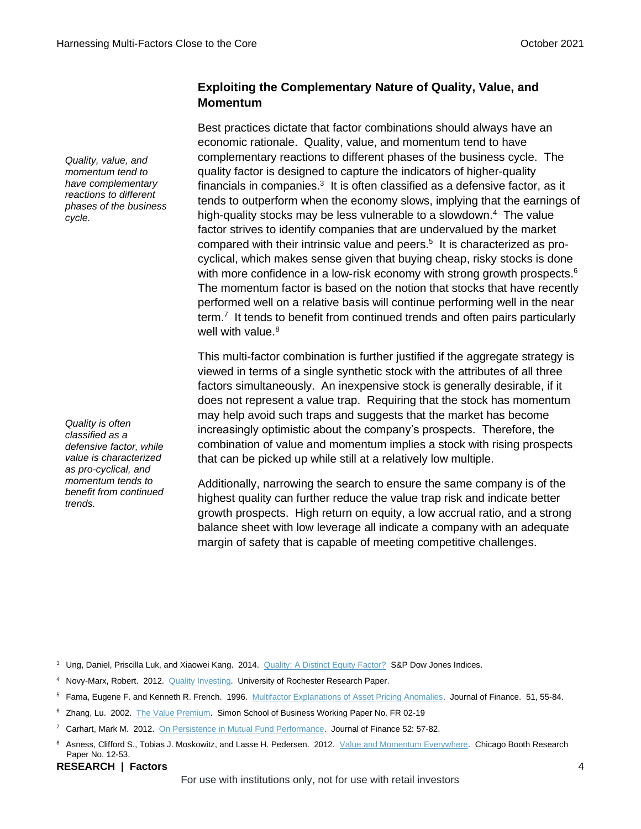### **Exploiting the Complementary Nature of Quality, Value, and Momentum**

Best practices dictate that factor combinations should always have an economic rationale. Quality, value, and momentum tend to have complementary reactions to different phases of the business cycle. The quality factor is designed to capture the indicators of higher-quality financials in companies. $3$  It is often classified as a defensive factor, as it tends to outperform when the economy slows, implying that the earnings of high-quality stocks may be less vulnerable to a slowdown. <sup>4</sup> The value factor strives to identify companies that are undervalued by the market compared with their intrinsic value and peers. 5 It is characterized as procyclical, which makes sense given that buying cheap, risky stocks is done with more confidence in a low-risk economy with strong growth prospects.<sup>6</sup> The momentum factor is based on the notion that stocks that have recently performed well on a relative basis will continue performing well in the near term.<sup>7</sup> It tends to benefit from continued trends and often pairs particularly well with value.<sup>8</sup>

This multi-factor combination is further justified if the aggregate strategy is viewed in terms of a single synthetic stock with the attributes of all three factors simultaneously. An inexpensive stock is generally desirable, if it does not represent a value trap. Requiring that the stock has momentum may help avoid such traps and suggests that the market has become increasingly optimistic about the company's prospects. Therefore, the combination of value and momentum implies a stock with rising prospects that can be picked up while still at a relatively low multiple.

Additionally, narrowing the search to ensure the same company is of the highest quality can further reduce the value trap risk and indicate better growth prospects. High return on equity, a low accrual ratio, and a strong balance sheet with low leverage all indicate a company with an adequate margin of safety that is capable of meeting competitive challenges.

<sup>3</sup> Ung, Daniel, Priscilla Luk, and Xiaowei Kang. 2014. [Quality: A Distinct Equity Factor?](https://www.spglobal.com/spdji/en/documents/research/research-quality-a-distinct-equity-factor.pdf?utm_source=pdf_research) S&P Dow Jones Indices.

- <sup>4</sup> Novy-Marx, Robert. 2012. [Quality Investing.](http://rnm.simon.rochester.edu/research/QDoVI.pdf) University of Rochester Research Paper.
- <sup>5</sup> Fama, Eugene F. and Kenneth R. French. 1996. [Multifactor Explanations of Asset Pricing Anomalies.](https://onlinelibrary.wiley.com/doi/pdf/10.1111/j.1540-6261.1996.tb05202.x) Journal of Finance. 51, 55-84.
- <sup>6</sup> Zhang, Lu. 2002. [The Value Premium.](https://papers.ssrn.com/sol3/Delivery.cfm/SSRN_ID351060_code021203590.pdf?abstractid=351060&mirid=1) Simon School of Business Working Paper No. FR 02-19
- <sup>7</sup> Carhart, Mark M. 2012. [On Persistence in Mutual Fund Performance.](https://onlinelibrary.wiley.com/doi/full/10.1111/j.1540-6261.1997.tb03808.x) Journal of Finance 52: 57-82.
- 8 Asness, Clifford S., Tobias J. Moskowitz, and Lasse H. Pedersen. 2012. [Value and Momentum Everywhere.](https://papers.ssrn.com/sol3/Delivery.cfm/SSRN_ID2174501_code753937.pdf?abstractid=2174501&mirid=1) Chicago Booth Research Paper No. 12-53.

#### **RESEARCH | Factors** 4

For use with institutions only, not for use with retail investors

*Quality, value, and momentum tend to have complementary reactions to different phases of the business cycle.*

*Quality is often classified as a defensive factor, while value is characterized as pro-cyclical, and momentum tends to benefit from continued trends.*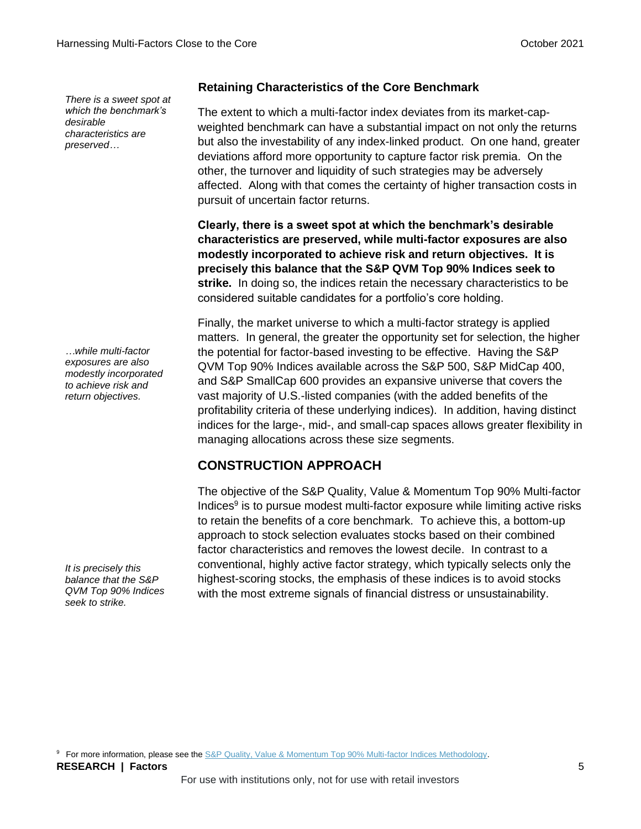*There is a sweet spot at which the benchmark's desirable characteristics are preserved…*

*…while multi-factor exposures are also modestly incorporated to achieve risk and return objectives.*

*It is precisely this balance that the S&P QVM Top 90% Indices seek to strike.*

### **Retaining Characteristics of the Core Benchmark**

The extent to which a multi-factor index deviates from its market-capweighted benchmark can have a substantial impact on not only the returns but also the investability of any index-linked product. On one hand, greater deviations afford more opportunity to capture factor risk premia. On the other, the turnover and liquidity of such strategies may be adversely affected. Along with that comes the certainty of higher transaction costs in pursuit of uncertain factor returns.

**Clearly, there is a sweet spot at which the benchmark's desirable characteristics are preserved, while multi-factor exposures are also modestly incorporated to achieve risk and return objectives. It is precisely this balance that the S&P QVM Top 90% Indices seek to strike.** In doing so, the indices retain the necessary characteristics to be considered suitable candidates for a portfolio's core holding.

Finally, the market universe to which a multi-factor strategy is applied matters. In general, the greater the opportunity set for selection, the higher the potential for factor-based investing to be effective. Having the S&P QVM Top 90% Indices available across the S&P 500, S&P MidCap 400, and S&P SmallCap 600 provides an expansive universe that covers the vast majority of U.S.-listed companies (with the added benefits of the profitability criteria of these underlying indices). In addition, having distinct indices for the large-, mid-, and small-cap spaces allows greater flexibility in managing allocations across these size segments.

### **CONSTRUCTION APPROACH**

The objective of the S&P Quality, Value & Momentum Top 90% Multi-factor Indices<sup>9</sup> is to pursue modest multi-factor exposure while limiting active risks to retain the benefits of a core benchmark. To achieve this, a bottom-up approach to stock selection evaluates stocks based on their combined factor characteristics and removes the lowest decile. In contrast to a conventional, highly active factor strategy, which typically selects only the highest-scoring stocks, the emphasis of these indices is to avoid stocks with the most extreme signals of financial distress or unsustainability.

**RESEARCH | Factors** 5 <sup>9</sup> For more information, please see the [S&P Quality, Value & Momentum Top 90% Multi-factor Indices Methodology.](https://www.spglobal.com/spdji/en/documents/methodologies/methodology-sp-quality-value-momentum-multi-factor-indices.pdf?utm_source=pdf_research)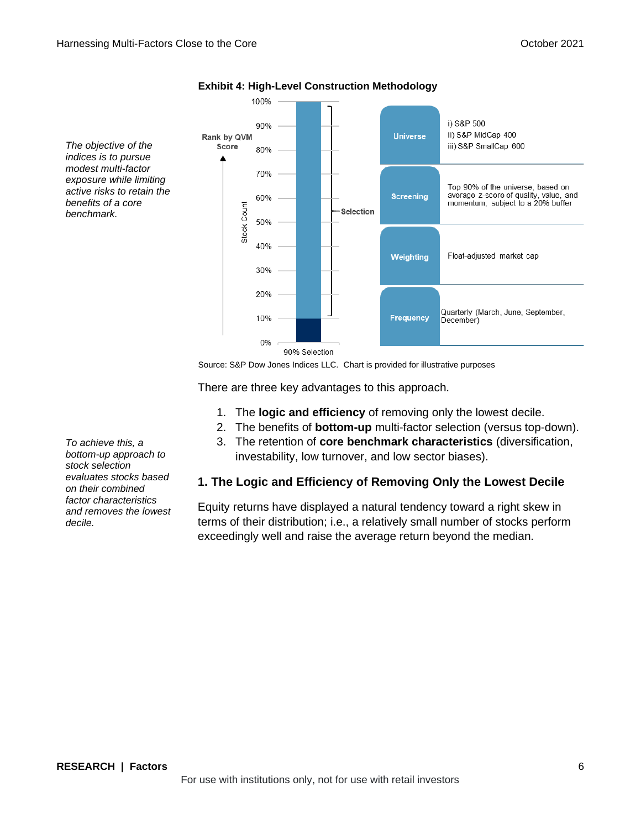*The objective of the indices is to pursue modest multi-factor exposure while limiting active risks to retain the benefits of a core benchmark.*



### **Exhibit 4: High-Level Construction Methodology**

Source: S&P Dow Jones Indices LLC. Chart is provided for illustrative purposes

There are three key advantages to this approach.

- 1. The **logic and efficiency** of removing only the lowest decile.
- 2. The benefits of **bottom-up** multi-factor selection (versus top-down).
- 3. The retention of **core benchmark characteristics** (diversification, investability, low turnover, and low sector biases).

### **1. The Logic and Efficiency of Removing Only the Lowest Decile**

Equity returns have displayed a natural tendency toward a right skew in terms of their distribution; i.e., a relatively small number of stocks perform exceedingly well and raise the average return beyond the median.

*To achieve this, a bottom-up approach to stock selection evaluates stocks based on their combined factor characteristics and removes the lowest decile.*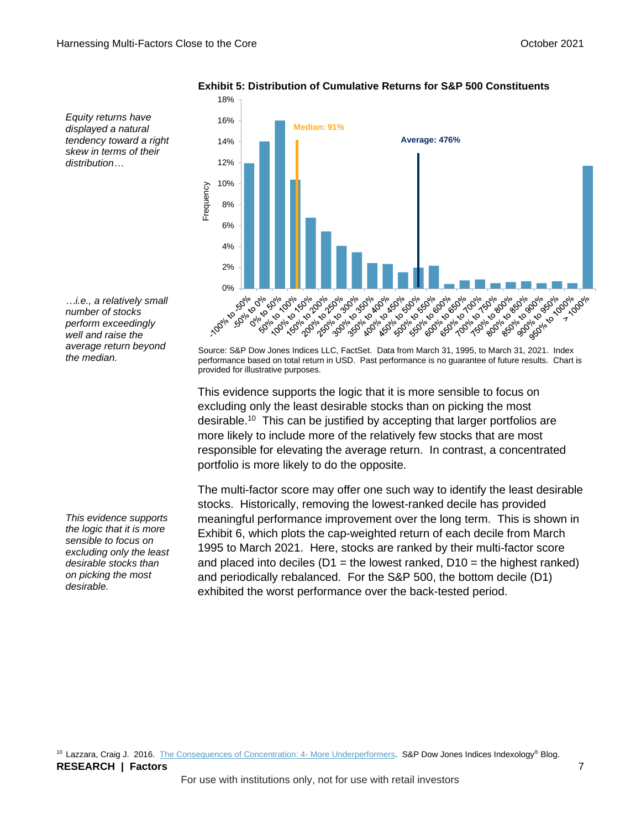18%

16% **Median: 91% Average: 476%**14% 12% 10% **Frequency** 8% 6% 4% 2% **100%** Sele Dele Source: S&P Dow Jones Indices LLC, FactSet. Data from March 31, 1995, to March 31, 2021. Index<br>Source: S&P Dow Jones Indices LLC, FactSet. Data from March 31, 1995, to March 31, 2021. Index 1916 1919 1919 1919 100% 2019 2019 1% 19% 29% 29% 100% 30% 30% 11301-301-3021 1919-0919-0919-0919 Alexander 50% 1996-1996-1999 50% 20% 20% 30% 50% 0% to 10% 0% is discribed 1916-2016-2019 1919/1920 1920 A16016.5016.001 1996-2096-2099 1150% 20% 20% 7 TOOlo DOID

**Exhibit 5: Distribution of Cumulative Returns for S&P 500 Constituents**

*…i.e., a relatively small number of stocks perform exceedingly well and raise the* 

*Equity returns have displayed a natural tendency toward a right skew in terms of their* 

*distribution…*

*average return beyond the median.*

*This evidence supports the logic that it is more sensible to focus on excluding only the least desirable stocks than on picking the most desirable.*

performance based on total return in USD. Past performance is no guarantee of future results. Chart is provided for illustrative purposes.

This evidence supports the logic that it is more sensible to focus on excluding only the least desirable stocks than on picking the most desirable.<sup>10</sup> This can be justified by accepting that larger portfolios are more likely to include more of the relatively few stocks that are most responsible for elevating the average return. In contrast, a concentrated portfolio is more likely to do the opposite.

The multi-factor score may offer one such way to identify the least desirable stocks. Historically, removing the lowest-ranked decile has provided meaningful performance improvement over the long term. This is shown in Exhibit 6, which plots the cap-weighted return of each decile from March 1995 to March 2021. Here, stocks are ranked by their multi-factor score and placed into deciles ( $D1$  = the lowest ranked,  $D10$  = the highest ranked) and periodically rebalanced. For the S&P 500, the bottom decile (D1) exhibited the worst performance over the back-tested period.

**RESEARCH | Factors** 7 <sup>10</sup> Lazzara, Craig J. 2016. [The Consequences of Concentration: 4-](https://www.indexologyblog.com/2016/07/25/the-consequences-of-concentration-4-more-underperformers/?utm_source=pdf_research) More Underperformers. S&P Dow Jones Indices Indexology® Blog.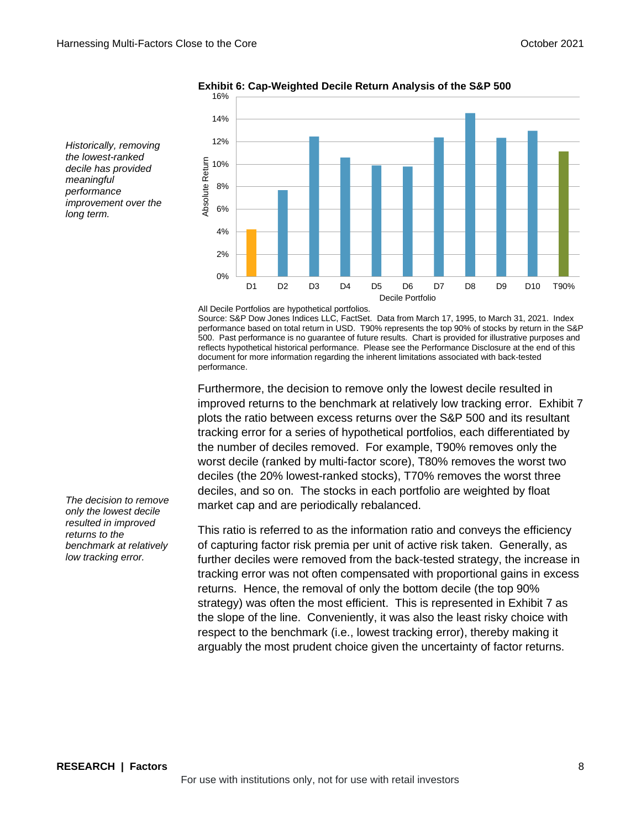

**Exhibit 6: Cap-Weighted Decile Return Analysis of the S&P 500**

*Historically, removing the lowest-ranked decile has provided meaningful performance improvement over the long term.*

All Decile Portfolios are hypothetical portfolios.

Source: S&P Dow Jones Indices LLC, FactSet. Data from March 17, 1995, to March 31, 2021. Index performance based on total return in USD. T90% represents the top 90% of stocks by return in the S&P 500. Past performance is no guarantee of future results. Chart is provided for illustrative purposes and reflects hypothetical historical performance. Please see the Performance Disclosure at the end of this document for more information regarding the inherent limitations associated with back-tested performance.

Furthermore, the decision to remove only the lowest decile resulted in improved returns to the benchmark at relatively low tracking error. Exhibit 7 plots the ratio between excess returns over the S&P 500 and its resultant tracking error for a series of hypothetical portfolios, each differentiated by the number of deciles removed. For example, T90% removes only the worst decile (ranked by multi-factor score), T80% removes the worst two deciles (the 20% lowest-ranked stocks), T70% removes the worst three deciles, and so on. The stocks in each portfolio are weighted by float market cap and are periodically rebalanced.

This ratio is referred to as the information ratio and conveys the efficiency of capturing factor risk premia per unit of active risk taken. Generally, as further deciles were removed from the back-tested strategy, the increase in tracking error was not often compensated with proportional gains in excess returns. Hence, the removal of only the bottom decile (the top 90% strategy) was often the most efficient. This is represented in Exhibit 7 as the slope of the line. Conveniently, it was also the least risky choice with respect to the benchmark (i.e., lowest tracking error), thereby making it arguably the most prudent choice given the uncertainty of factor returns.

*The decision to remove only the lowest decile resulted in improved returns to the benchmark at relatively low tracking error.*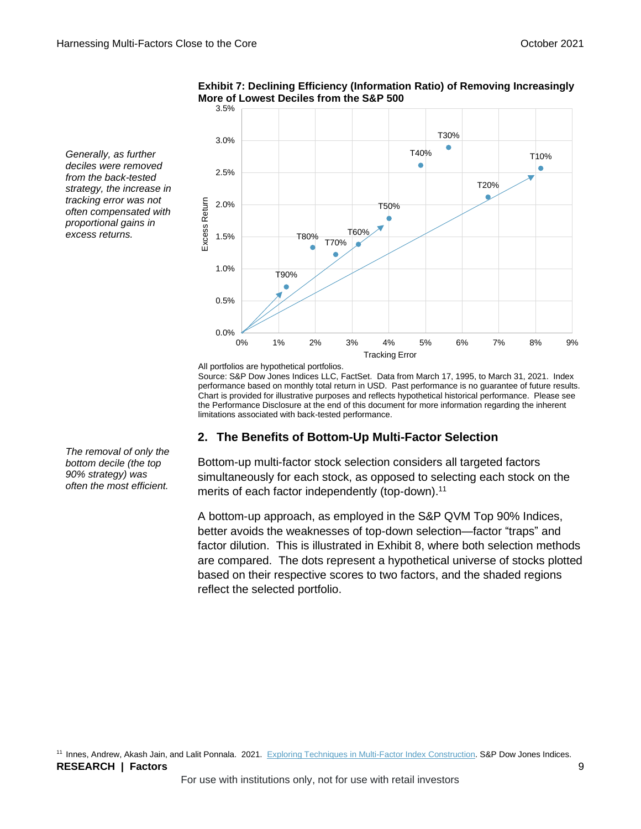

**Exhibit 7: Declining Efficiency (Information Ratio) of Removing Increasingly More of Lowest Deciles from the S&P 500**

*Generally, as further deciles were removed from the back-tested strategy, the increase in tracking error was not often compensated with proportional gains in excess returns.*

All portfolios are hypothetical portfolios.

Source: S&P Dow Jones Indices LLC, FactSet. Data from March 17, 1995, to March 31, 2021. Index performance based on monthly total return in USD. Past performance is no guarantee of future results. Chart is provided for illustrative purposes and reflects hypothetical historical performance. Please see the Performance Disclosure at the end of this document for more information regarding the inherent limitations associated with back-tested performance.

### **2. The Benefits of Bottom-Up Multi-Factor Selection**

Bottom-up multi-factor stock selection considers all targeted factors simultaneously for each stock, as opposed to selecting each stock on the merits of each factor independently (top-down).<sup>11</sup>

A bottom-up approach, as employed in the S&P QVM Top 90% Indices, better avoids the weaknesses of top-down selection—factor "traps" and factor dilution. This is illustrated in Exhibit 8, where both selection methods are compared. The dots represent a hypothetical universe of stocks plotted based on their respective scores to two factors, and the shaded regions reflect the selected portfolio.

**RESEARCH | Factors** 9 11 Innes, Andrew, Akash Jain, and Lalit Ponnala. 2021. [Exploring Techniques in Multi-Factor Index Construction.](https://www.spglobal.com/spdji/en/documents/research/research-exploring-techniques-in-multi-factor-index-construction.pdf?utm_source=pdf_research) S&P Dow Jones Indices.

*The removal of only the bottom decile (the top 90% strategy) was often the most efficient.*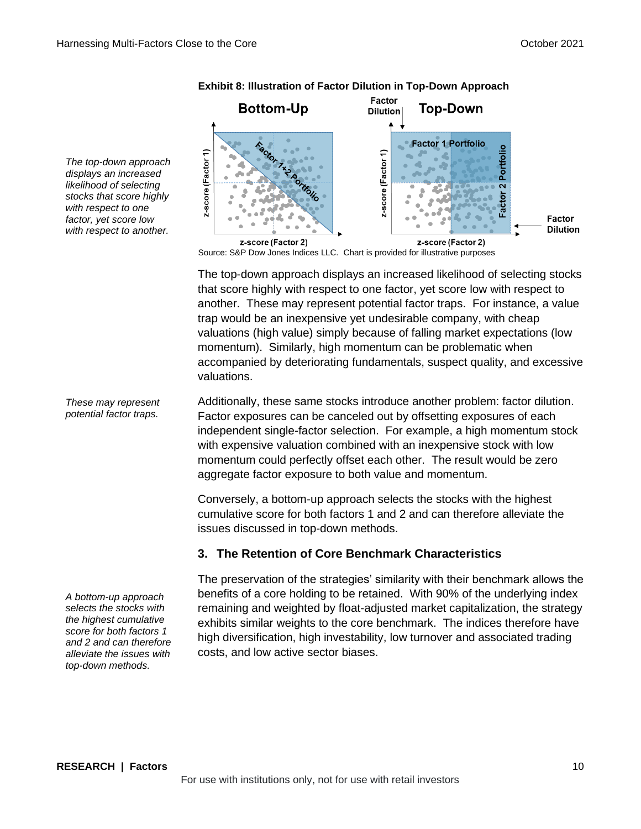**Bottom-Up Top-Down Dilution Factor 1 Portfolio** Portfolio z-score (Factor 1) z-score (Factor 1)  $\overline{\mathbf{c}}$ Factor Factor **Dilution** z-score (Factor 2) z-score (Factor 2)

Factor

**Exhibit 8: Illustration of Factor Dilution in Top-Down Approach**

Source: S&P Dow Jones Indices LLC. Chart is provided for illustrative purposes

The top-down approach displays an increased likelihood of selecting stocks that score highly with respect to one factor, yet score low with respect to another. These may represent potential factor traps. For instance, a value trap would be an inexpensive yet undesirable company, with cheap valuations (high value) simply because of falling market expectations (low momentum). Similarly, high momentum can be problematic when accompanied by deteriorating fundamentals, suspect quality, and excessive valuations.

Additionally, these same stocks introduce another problem: factor dilution. Factor exposures can be canceled out by offsetting exposures of each independent single-factor selection. For example, a high momentum stock with expensive valuation combined with an inexpensive stock with low momentum could perfectly offset each other. The result would be zero aggregate factor exposure to both value and momentum.

Conversely, a bottom-up approach selects the stocks with the highest cumulative score for both factors 1 and 2 and can therefore alleviate the issues discussed in top-down methods.

### **3. The Retention of Core Benchmark Characteristics**

The preservation of the strategies' similarity with their benchmark allows the benefits of a core holding to be retained. With 90% of the underlying index remaining and weighted by float-adjusted market capitalization, the strategy exhibits similar weights to the core benchmark. The indices therefore have high diversification, high investability, low turnover and associated trading costs, and low active sector biases.

*The top-down approach displays an increased likelihood of selecting stocks that score highly with respect to one factor, yet score low with respect to another.*

*These may represent potential factor traps.*

*A bottom-up approach selects the stocks with the highest cumulative score for both factors 1 and 2 and can therefore alleviate the issues with top-down methods.*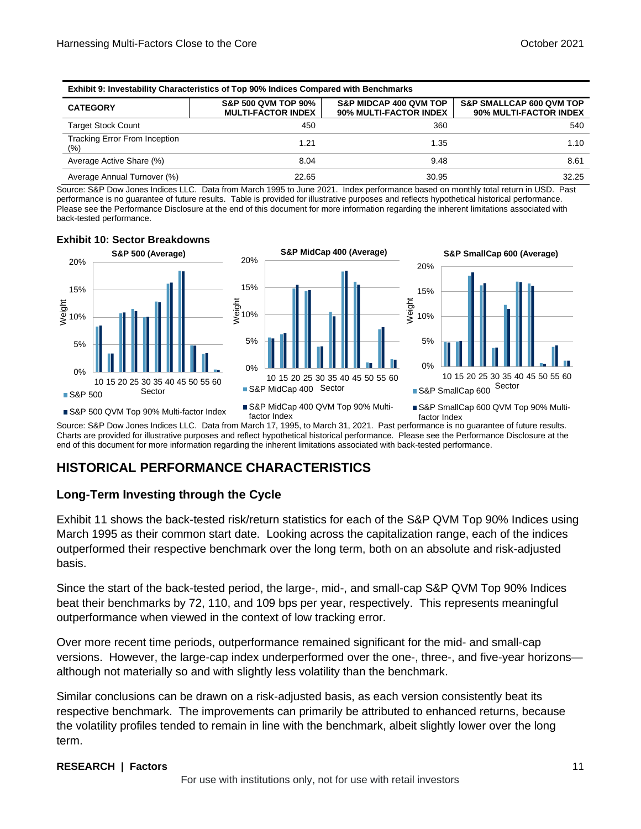**Exhibit 10: Sector Breakdowns**

| <b>Exhibit 9: Investability Characteristics of Top 90% Indices Compared with Benchmarks</b> |                                                             |                                                             |                                                               |  |  |  |  |  |  |
|---------------------------------------------------------------------------------------------|-------------------------------------------------------------|-------------------------------------------------------------|---------------------------------------------------------------|--|--|--|--|--|--|
| <b>CATEGORY</b>                                                                             | <b>S&amp;P 500 QVM TOP 90%</b><br><b>MULTI-FACTOR INDEX</b> | <b>S&amp;P MIDCAP 400 QVM TOP</b><br>90% MULTI-FACTOR INDEX | <b>S&amp;P SMALLCAP 600 QVM TOP</b><br>90% MULTI-FACTOR INDEX |  |  |  |  |  |  |
| <b>Target Stock Count</b>                                                                   | 450                                                         | 360                                                         | 540                                                           |  |  |  |  |  |  |
| <b>Tracking Error From Inception</b><br>(%)                                                 | 1.21                                                        | 1.35                                                        | 1.10                                                          |  |  |  |  |  |  |
| Average Active Share (%)                                                                    | 8.04                                                        | 9.48                                                        | 8.61                                                          |  |  |  |  |  |  |
| Average Annual Turnover (%)                                                                 | 22.65                                                       | 30.95                                                       | 32.25                                                         |  |  |  |  |  |  |

Source: S&P Dow Jones Indices LLC. Data from March 1995 to June 2021. Index performance based on monthly total return in USD. Past performance is no guarantee of future results. Table is provided for illustrative purposes and reflects hypothetical historical performance. Please see the Performance Disclosure at the end of this document for more information regarding the inherent limitations associated with back-tested performance.



Source: S&P Dow Jones Indices LLC. Data from March 17, 1995, to March 31, 2021. Past performance is no guarantee of future results. Charts are provided for illustrative purposes and reflect hypothetical historical performance. Please see the Performance Disclosure at the end of this document for more information regarding the inherent limitations associated with back-tested performance.

### **HISTORICAL PERFORMANCE CHARACTERISTICS**

### **Long-Term Investing through the Cycle**

Exhibit 11 shows the back-tested risk/return statistics for each of the S&P QVM Top 90% Indices using March 1995 as their common start date. Looking across the capitalization range, each of the indices outperformed their respective benchmark over the long term, both on an absolute and risk-adjusted basis.

Since the start of the back-tested period, the large-, mid-, and small-cap S&P QVM Top 90% Indices beat their benchmarks by 72, 110, and 109 bps per year, respectively. This represents meaningful outperformance when viewed in the context of low tracking error.

Over more recent time periods, outperformance remained significant for the mid- and small-cap versions. However, the large-cap index underperformed over the one-, three-, and five-year horizons although not materially so and with slightly less volatility than the benchmark.

Similar conclusions can be drawn on a risk-adjusted basis, as each version consistently beat its respective benchmark. The improvements can primarily be attributed to enhanced returns, because the volatility profiles tended to remain in line with the benchmark, albeit slightly lower over the long term.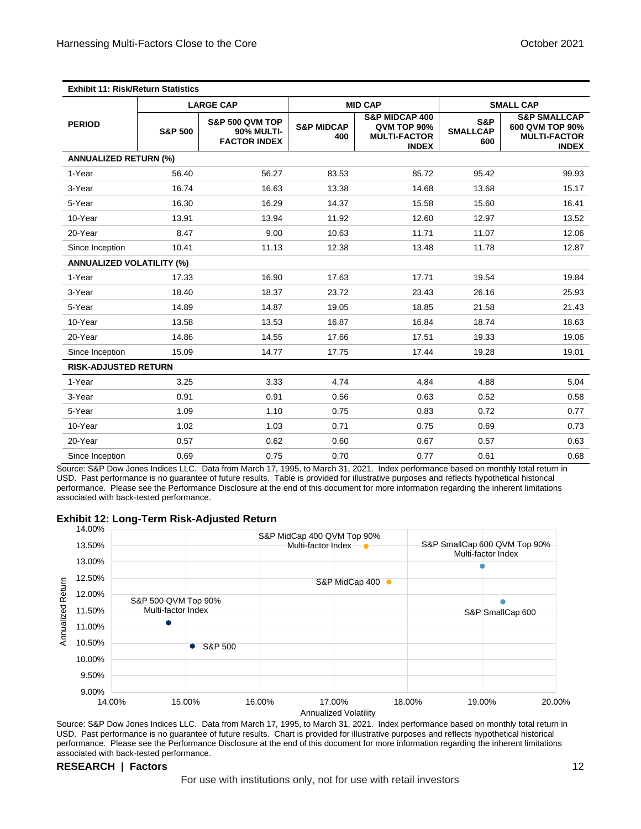|                                  |                    | <b>LARGE CAP</b>                                                       |                              | <b>MID CAP</b>                                                                  |                               | <b>SMALL CAP</b>                                                                  |
|----------------------------------|--------------------|------------------------------------------------------------------------|------------------------------|---------------------------------------------------------------------------------|-------------------------------|-----------------------------------------------------------------------------------|
| <b>PERIOD</b>                    | <b>S&amp;P 500</b> | <b>S&amp;P 500 QVM TOP</b><br><b>90% MULTI-</b><br><b>FACTOR INDEX</b> | <b>S&amp;P MIDCAP</b><br>400 | <b>S&amp;P MIDCAP 400</b><br>QVM TOP 90%<br><b>MULTI-FACTOR</b><br><b>INDEX</b> | S&P<br><b>SMALLCAP</b><br>600 | <b>S&amp;P SMALLCAP</b><br>600 QVM TOP 90%<br><b>MULTI-FACTOR</b><br><b>INDEX</b> |
| <b>ANNUALIZED RETURN (%)</b>     |                    |                                                                        |                              |                                                                                 |                               |                                                                                   |
| 1-Year                           | 56.40              | 56.27                                                                  | 83.53                        | 85.72                                                                           | 95.42                         | 99.93                                                                             |
| 3-Year                           | 16.74              | 16.63                                                                  | 13.38                        | 14.68                                                                           | 13.68                         | 15.17                                                                             |
| 5-Year                           | 16.30              | 16.29                                                                  | 14.37                        | 15.58                                                                           | 15.60                         | 16.41                                                                             |
| 10-Year                          | 13.91              | 13.94                                                                  | 11.92                        | 12.60                                                                           | 12.97                         | 13.52                                                                             |
| 20-Year                          | 8.47               | 9.00                                                                   | 10.63                        | 11.71                                                                           | 11.07                         | 12.06                                                                             |
| Since Inception                  | 10.41              | 11.13                                                                  | 12.38                        | 13.48                                                                           | 11.78                         | 12.87                                                                             |
| <b>ANNUALIZED VOLATILITY (%)</b> |                    |                                                                        |                              |                                                                                 |                               |                                                                                   |
| 1-Year                           | 17.33              | 16.90                                                                  | 17.63                        | 17.71                                                                           | 19.54                         | 19.84                                                                             |
| 3-Year                           | 18.40              | 18.37                                                                  | 23.72                        | 23.43                                                                           | 26.16                         | 25.93                                                                             |
| 5-Year                           | 14.89              | 14.87                                                                  | 19.05                        | 18.85                                                                           | 21.58                         | 21.43                                                                             |
| 10-Year                          | 13.58              | 13.53                                                                  | 16.87                        | 16.84                                                                           | 18.74                         | 18.63                                                                             |
| 20-Year                          | 14.86              | 14.55                                                                  | 17.66                        | 17.51                                                                           | 19.33                         | 19.06                                                                             |
| Since Inception                  | 15.09              | 14.77                                                                  | 17.75                        | 17.44                                                                           | 19.28                         | 19.01                                                                             |
| <b>RISK-ADJUSTED RETURN</b>      |                    |                                                                        |                              |                                                                                 |                               |                                                                                   |
| 1-Year                           | 3.25               | 3.33                                                                   | 4.74                         | 4.84                                                                            | 4.88                          | 5.04                                                                              |
| 3-Year                           | 0.91               | 0.91                                                                   | 0.56                         | 0.63                                                                            | 0.52                          | 0.58                                                                              |
| 5-Year                           | 1.09               | 1.10                                                                   | 0.75                         | 0.83                                                                            | 0.72                          | 0.77                                                                              |
| 10-Year                          | 1.02               | 1.03                                                                   | 0.71                         | 0.75                                                                            | 0.69                          | 0.73                                                                              |
| 20-Year                          | 0.57               | 0.62                                                                   | 0.60                         | 0.67                                                                            | 0.57                          | 0.63                                                                              |
| Since Inception                  | 0.69               | 0.75                                                                   | 0.70                         | 0.77                                                                            | 0.61                          | 0.68                                                                              |

Source: S&P Dow Jones Indices LLC. Data from March 17, 1995, to March 31, 2021. Index performance based on monthly total return in USD. Past performance is no guarantee of future results. Table is provided for illustrative purposes and reflects hypothetical historical performance. Please see the Performance Disclosure at the end of this document for more information regarding the inherent limitations associated with back-tested performance.

#### **Exhibit 12: Long-Term Risk-Adjusted Return**



Source: S&P Dow Jones Indices LLC. Data from March 17, 1995, to March 31, 2021. Index performance based on monthly total return in USD. Past performance is no guarantee of future results. Chart is provided for illustrative purposes and reflects hypothetical historical performance. Please see the Performance Disclosure at the end of this document for more information regarding the inherent limitations associated with back-tested performance.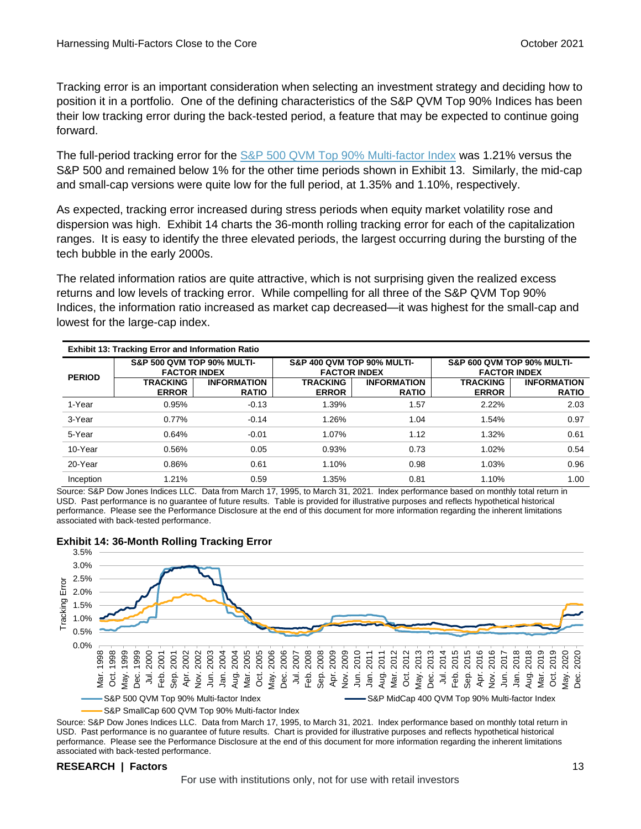Tracking error is an important consideration when selecting an investment strategy and deciding how to position it in a portfolio. One of the defining characteristics of the S&P QVM Top 90% Indices has been their low tracking error during the back-tested period, a feature that may be expected to continue going forward.

The full-period tracking error for the [S&P 500 QVM Top 90% Multi-factor Index](https://www.spglobal.com/spdji/en/indices/strategy/sp-500-quality-value-momentum-top-90-multi-factor-index?utm_source=pdf_research) was 1.21% versus the S&P 500 and remained below 1% for the other time periods shown in Exhibit 13. Similarly, the mid-cap and small-cap versions were quite low for the full period, at 1.35% and 1.10%, respectively.

As expected, tracking error increased during stress periods when equity market volatility rose and dispersion was high. Exhibit 14 charts the 36-month rolling tracking error for each of the capitalization ranges. It is easy to identify the three elevated periods, the largest occurring during the bursting of the tech bubble in the early 2000s.

The related information ratios are quite attractive, which is not surprising given the realized excess returns and low levels of tracking error. While compelling for all three of the S&P QVM Top 90% Indices, the information ratio increased as market cap decreased—it was highest for the small-cap and lowest for the large-cap index.

| <b>Exhibit 13: Tracking Error and Information Ratio</b> |                                                              |                                    |                                                   |                                    |                                                              |                                    |  |  |  |
|---------------------------------------------------------|--------------------------------------------------------------|------------------------------------|---------------------------------------------------|------------------------------------|--------------------------------------------------------------|------------------------------------|--|--|--|
| <b>PERIOD</b>                                           | <b>S&amp;P 500 QVM TOP 90% MULTI-</b><br><b>FACTOR INDEX</b> |                                    | S&P 400 QVM TOP 90% MULTI-<br><b>FACTOR INDEX</b> |                                    | <b>S&amp;P 600 QVM TOP 90% MULTI-</b><br><b>FACTOR INDEX</b> |                                    |  |  |  |
|                                                         | <b>TRACKING</b><br><b>ERROR</b>                              | <b>INFORMATION</b><br><b>RATIO</b> | TRACKING<br><b>ERROR</b>                          | <b>INFORMATION</b><br><b>RATIO</b> | <b>TRACKING</b><br><b>ERROR</b>                              | <b>INFORMATION</b><br><b>RATIO</b> |  |  |  |
| 1-Year                                                  | 0.95%                                                        | $-0.13$                            | 1.39%                                             | 1.57                               | 2.22%                                                        | 2.03                               |  |  |  |
| 3-Year                                                  | 0.77%                                                        | $-0.14$                            | 1.26%                                             | 1.04                               | 1.54%                                                        | 0.97                               |  |  |  |
| 5-Year                                                  | 0.64%                                                        | $-0.01$                            | 1.07%                                             | 1.12                               | 1.32%                                                        | 0.61                               |  |  |  |
| 10-Year                                                 | 0.56%                                                        | 0.05                               | 0.93%                                             | 0.73                               | 1.02%                                                        | 0.54                               |  |  |  |
| 20-Year                                                 | 0.86%                                                        | 0.61                               | 1.10%                                             | 0.98                               | 1.03%                                                        | 0.96                               |  |  |  |
| Inception                                               | 1.21%                                                        | 0.59                               | 1.35%                                             | 0.81                               | 1.10%                                                        | 1.00                               |  |  |  |

Source: S&P Dow Jones Indices LLC. Data from March 17, 1995, to March 31, 2021. Index performance based on monthly total return in USD. Past performance is no guarantee of future results. Table is provided for illustrative purposes and reflects hypothetical historical performance. Please see the Performance Disclosure at the end of this document for more information regarding the inherent limitations associated with back-tested performance.



### **Exhibit 14: 36-Month Rolling Tracking Error**

Source: S&P Dow Jones Indices LLC. Data from March 17, 1995, to March 31, 2021. Index performance based on monthly total return in USD. Past performance is no guarantee of future results. Chart is provided for illustrative purposes and reflects hypothetical historical performance. Please see the Performance Disclosure at the end of this document for more information regarding the inherent limitations associated with back-tested performance.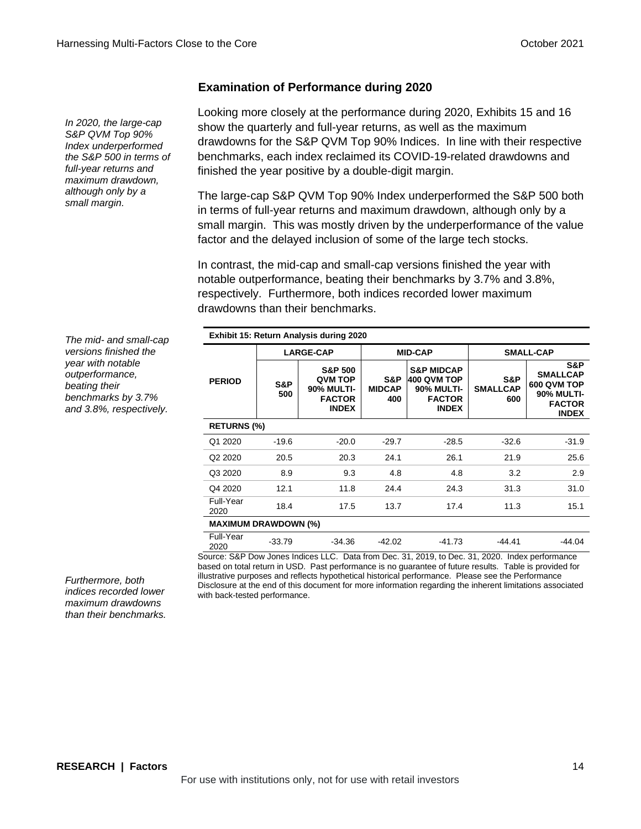### **Examination of Performance during 2020**

*In 2020, the large-cap S&P QVM Top 90% Index underperformed the S&P 500 in terms of full-year returns and maximum drawdown, although only by a small margin.*

Looking more closely at the performance during 2020, Exhibits 15 and 16 show the quarterly and full-year returns, as well as the maximum drawdowns for the S&P QVM Top 90% Indices. In line with their respective benchmarks, each index reclaimed its COVID-19-related drawdowns and finished the year positive by a double-digit margin.

The large-cap S&P QVM Top 90% Index underperformed the S&P 500 both in terms of full-year returns and maximum drawdown, although only by a small margin. This was mostly driven by the underperformance of the value factor and the delayed inclusion of some of the large tech stocks.

In contrast, the mid-cap and small-cap versions finished the year with notable outperformance, beating their benchmarks by 3.7% and 3.8%, respectively. Furthermore, both indices recorded lower maximum drawdowns than their benchmarks.

*The mid- and small-cap versions finished the year with notable outperformance, beating their benchmarks by 3.7% and 3.8%, respectively.*

| Exhibit 15: Return Analysis during 2020 |            |                                                                                            |                             |                                                                                            |                               |                                                                                             |  |  |  |  |
|-----------------------------------------|------------|--------------------------------------------------------------------------------------------|-----------------------------|--------------------------------------------------------------------------------------------|-------------------------------|---------------------------------------------------------------------------------------------|--|--|--|--|
|                                         |            | <b>LARGE-CAP</b>                                                                           |                             | <b>MID-CAP</b>                                                                             | <b>SMALL-CAP</b>              |                                                                                             |  |  |  |  |
| <b>PERIOD</b>                           | S&P<br>500 | <b>S&amp;P 500</b><br><b>QVM TOP</b><br><b>90% MULTI-</b><br><b>FACTOR</b><br><b>INDEX</b> | S&P<br><b>MIDCAP</b><br>400 | <b>S&amp;P MIDCAP</b><br>400 QVM TOP<br><b>90% MULTI-</b><br><b>FACTOR</b><br><b>INDEX</b> | S&P<br><b>SMALLCAP</b><br>600 | S&P<br><b>SMALLCAP</b><br>600 QVM TOP<br><b>90% MULTI-</b><br><b>FACTOR</b><br><b>INDEX</b> |  |  |  |  |
| <b>RETURNS (%)</b>                      |            |                                                                                            |                             |                                                                                            |                               |                                                                                             |  |  |  |  |
| Q1 2020                                 | $-19.6$    | $-20.0$                                                                                    | $-29.7$                     | $-28.5$                                                                                    | $-32.6$                       | $-31.9$                                                                                     |  |  |  |  |
| Q <sub>2</sub> 20 <sub>20</sub>         | 20.5       | 20.3                                                                                       | 24.1                        | 26.1                                                                                       | 21.9                          | 25.6                                                                                        |  |  |  |  |
| Q3 2020                                 | 8.9        | 9.3                                                                                        | 4.8                         | 4.8                                                                                        | 3.2                           | 2.9                                                                                         |  |  |  |  |
| Q4 2020                                 | 12.1       | 11.8                                                                                       | 24.4                        | 24.3                                                                                       | 31.3                          | 31.0                                                                                        |  |  |  |  |
| Full-Year<br>2020                       | 18.4       | 17.5                                                                                       | 13.7                        | 17.4                                                                                       | 11.3                          | 15.1                                                                                        |  |  |  |  |
| <b>MAXIMUM DRAWDOWN (%)</b>             |            |                                                                                            |                             |                                                                                            |                               |                                                                                             |  |  |  |  |
| Full-Year<br>2020                       | $-33.79$   | -34.36                                                                                     | $-42.02$                    | -41.73                                                                                     | $-44.41$                      | $-44.04$                                                                                    |  |  |  |  |

Source: S&P Dow Jones Indices LLC. Data from Dec. 31, 2019, to Dec. 31, 2020. Index performance based on total return in USD. Past performance is no guarantee of future results. Table is provided for illustrative purposes and reflects hypothetical historical performance. Please see the Performance Disclosure at the end of this document for more information regarding the inherent limitations associated with back-tested performance.

*Furthermore, both indices recorded lower maximum drawdowns than their benchmarks.*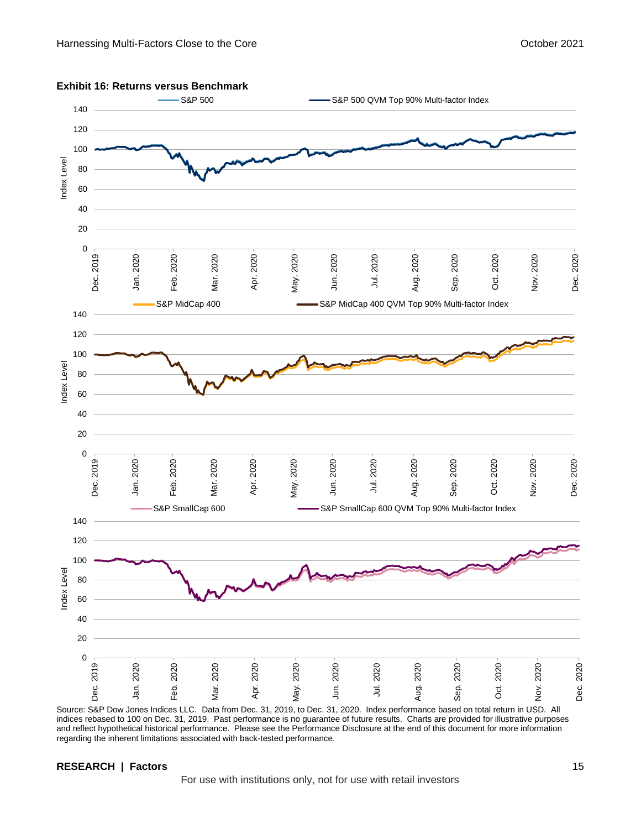

**Exhibit 16: Returns versus Benchmark**

Source: S&P Dow Jones Indices LLC. Data from Dec. 31, 2019, to Dec. 31, 2020. Index performance based on total return in USD. All indices rebased to 100 on Dec. 31, 2019. Past performance is no guarantee of future results. Charts are provided for illustrative purposes and reflect hypothetical historical performance. Please see the Performance Disclosure at the end of this document for more information regarding the inherent limitations associated with back-tested performance.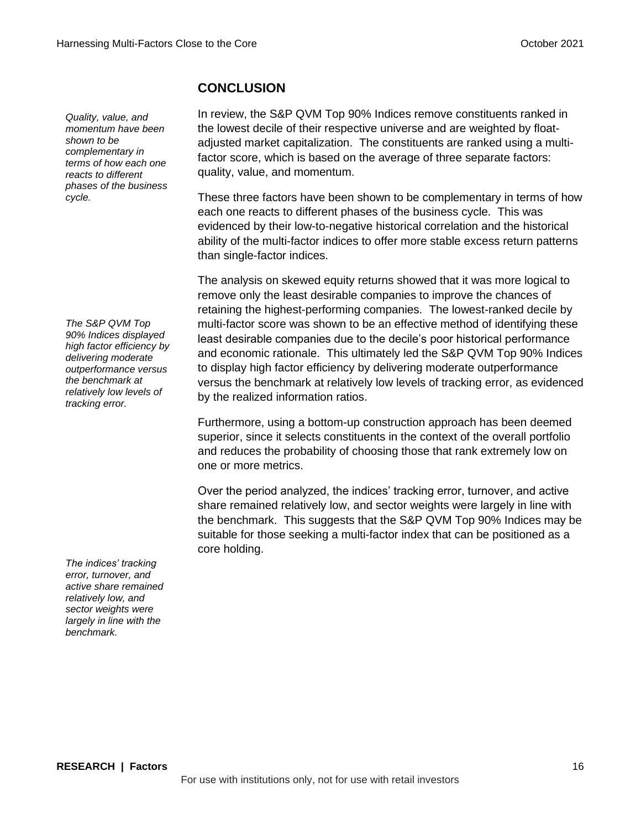*Quality, value, and momentum have been shown to be complementary in terms of how each one reacts to different phases of the business cycle.*

*The S&P QVM Top 90% Indices displayed high factor efficiency by delivering moderate outperformance versus the benchmark at relatively low levels of tracking error.*

*The indices' tracking error, turnover, and active share remained relatively low, and sector weights were largely in line with the benchmark.*

**CONCLUSION**

In review, the S&P QVM Top 90% Indices remove constituents ranked in the lowest decile of their respective universe and are weighted by floatadjusted market capitalization. The constituents are ranked using a multifactor score, which is based on the average of three separate factors: quality, value, and momentum.

These three factors have been shown to be complementary in terms of how each one reacts to different phases of the business cycle. This was evidenced by their low-to-negative historical correlation and the historical ability of the multi-factor indices to offer more stable excess return patterns than single-factor indices.

The analysis on skewed equity returns showed that it was more logical to remove only the least desirable companies to improve the chances of retaining the highest-performing companies. The lowest-ranked decile by multi-factor score was shown to be an effective method of identifying these least desirable companies due to the decile's poor historical performance and economic rationale. This ultimately led the S&P QVM Top 90% Indices to display high factor efficiency by delivering moderate outperformance versus the benchmark at relatively low levels of tracking error, as evidenced by the realized information ratios.

Furthermore, using a bottom-up construction approach has been deemed superior, since it selects constituents in the context of the overall portfolio and reduces the probability of choosing those that rank extremely low on one or more metrics.

Over the period analyzed, the indices' tracking error, turnover, and active share remained relatively low, and sector weights were largely in line with the benchmark. This suggests that the S&P QVM Top 90% Indices may be suitable for those seeking a multi-factor index that can be positioned as a core holding.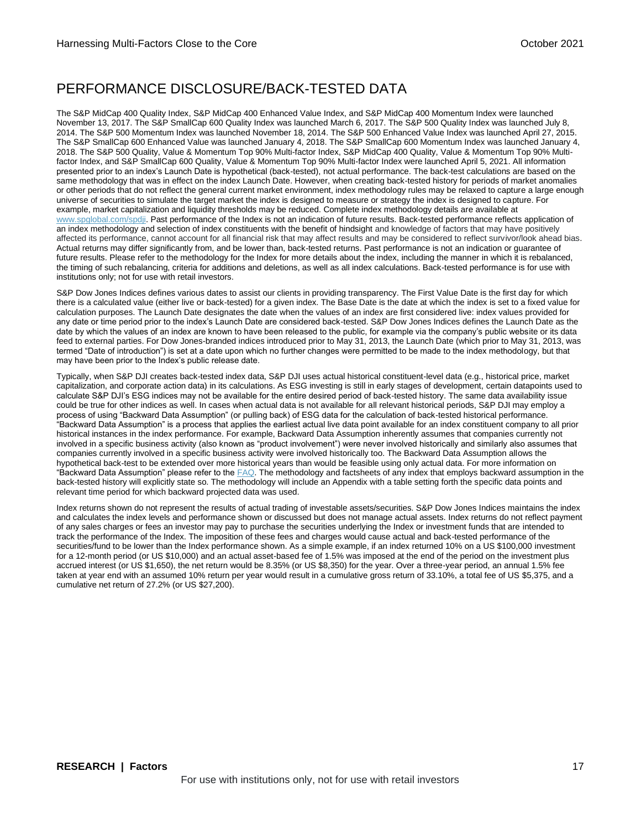### PERFORMANCE DISCLOSURE/BACK-TESTED DATA

The S&P MidCap 400 Quality Index, S&P MidCap 400 Enhanced Value Index, and S&P MidCap 400 Momentum Index were launched November 13, 2017. The S&P SmallCap 600 Quality Index was launched March 6, 2017. The S&P 500 Quality Index was launched July 8, 2014. The S&P 500 Momentum Index was launched November 18, 2014. The S&P 500 Enhanced Value Index was launched April 27, 2015. The S&P SmallCap 600 Enhanced Value was launched January 4, 2018. The S&P SmallCap 600 Momentum Index was launched January 4, 2018. The S&P 500 Quality, Value & Momentum Top 90% Multi-factor Index, S&P MidCap 400 Quality, Value & Momentum Top 90% Multifactor Index, and S&P SmallCap 600 Quality, Value & Momentum Top 90% Multi-factor Index were launched April 5, 2021. All information presented prior to an index's Launch Date is hypothetical (back-tested), not actual performance. The back-test calculations are based on the same methodology that was in effect on the index Launch Date. However, when creating back-tested history for periods of market anomalies or other periods that do not reflect the general current market environment, index methodology rules may be relaxed to capture a large enough universe of securities to simulate the target market the index is designed to measure or strategy the index is designed to capture. For example, market capitalization and liquidity thresholds may be reduced. Complete index methodology details are available at [www.spglobal.com/spdji.](http://www.spglobal.com/spdji/en?utm_source=pdf_research) Past performance of the Index is not an indication of future results. Back-tested performance reflects application of an index methodology and selection of index constituents with the benefit of hindsight and knowledge of factors that may have positively affected its performance, cannot account for all financial risk that may affect results and may be considered to reflect survivor/look ahead bias. Actual returns may differ significantly from, and be lower than, back-tested returns. Past performance is not an indication or guarantee of future results. Please refer to the methodology for the Index for more details about the index, including the manner in which it is rebalanced, the timing of such rebalancing, criteria for additions and deletions, as well as all index calculations. Back-tested performance is for use with institutions only; not for use with retail investors.

S&P Dow Jones Indices defines various dates to assist our clients in providing transparency. The First Value Date is the first day for which there is a calculated value (either live or back-tested) for a given index. The Base Date is the date at which the index is set to a fixed value for calculation purposes. The Launch Date designates the date when the values of an index are first considered live: index values provided for any date or time period prior to the index's Launch Date are considered back-tested. S&P Dow Jones Indices defines the Launch Date as the date by which the values of an index are known to have been released to the public, for example via the company's public website or its data feed to external parties. For Dow Jones-branded indices introduced prior to May 31, 2013, the Launch Date (which prior to May 31, 2013, was termed "Date of introduction") is set at a date upon which no further changes were permitted to be made to the index methodology, but that may have been prior to the Index's public release date.

Typically, when S&P DJI creates back-tested index data, S&P DJI uses actual historical constituent-level data (e.g., historical price, market capitalization, and corporate action data) in its calculations. As ESG investing is still in early stages of development, certain datapoints used to calculate S&P DJI's ESG indices may not be available for the entire desired period of back-tested history. The same data availability issue could be true for other indices as well. In cases when actual data is not available for all relevant historical periods, S&P DJI may employ a process of using "Backward Data Assumption" (or pulling back) of ESG data for the calculation of back-tested historical performance. "Backward Data Assumption" is a process that applies the earliest actual live data point available for an index constituent company to all prior historical instances in the index performance. For example, Backward Data Assumption inherently assumes that companies currently not involved in a specific business activity (also known as "product involvement") were never involved historically and similarly also assumes that companies currently involved in a specific business activity were involved historically too. The Backward Data Assumption allows the hypothetical back-test to be extended over more historical years than would be feasible using only actual data. For more information on "Backward Data Assumption" please refer to th[e FAQ.](https://www.spglobal.com/spdji/en/education/article/faq-esg-back-testing-backward-data-assumption-overview/?utm_source=pdf_research) The methodology and factsheets of any index that employs backward assumption in the back-tested history will explicitly state so. The methodology will include an Appendix with a table setting forth the specific data points and relevant time period for which backward projected data was used.

Index returns shown do not represent the results of actual trading of investable assets/securities. S&P Dow Jones Indices maintains the index and calculates the index levels and performance shown or discussed but does not manage actual assets. Index returns do not reflect payment of any sales charges or fees an investor may pay to purchase the securities underlying the Index or investment funds that are intended to track the performance of the Index. The imposition of these fees and charges would cause actual and back-tested performance of the securities/fund to be lower than the Index performance shown. As a simple example, if an index returned 10% on a US \$100,000 investment for a 12-month period (or US \$10,000) and an actual asset-based fee of 1.5% was imposed at the end of the period on the investment plus accrued interest (or US \$1,650), the net return would be 8.35% (or US \$8,350) for the year. Over a three-year period, an annual 1.5% fee taken at year end with an assumed 10% return per year would result in a cumulative gross return of 33.10%, a total fee of US \$5,375, and a cumulative net return of 27.2% (or US \$27,200).